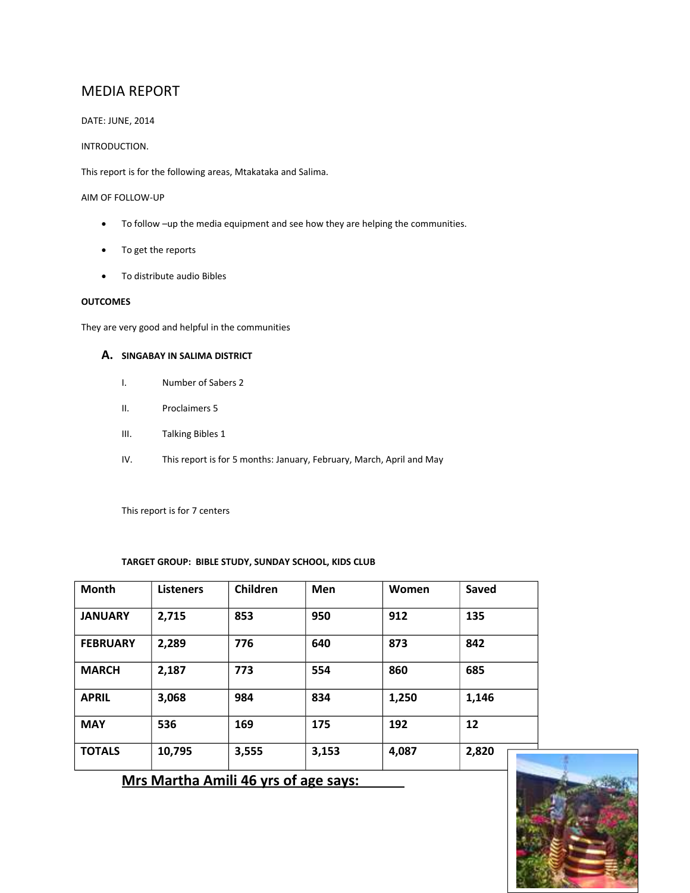## MEDIA REPORT

DATE: JUNE, 2014

#### INTRODUCTION.

This report is for the following areas, Mtakataka and Salima.

AIM OF FOLLOW-UP

- To follow –up the media equipment and see how they are helping the communities.
- To get the reports
- To distribute audio Bibles

#### **OUTCOMES**

They are very good and helpful in the communities

#### **A. SINGABAY IN SALIMA DISTRICT**

- I. Number of Sabers 2
- II. Proclaimers 5
- III. Talking Bibles 1
- IV. This report is for 5 months: January, February, March, April and May

This report is for 7 centers

#### **TARGET GROUP: BIBLE STUDY, SUNDAY SCHOOL, KIDS CLUB**

| <b>Month</b>    | <b>Listeners</b> | Children | Men   | Women | Saved |
|-----------------|------------------|----------|-------|-------|-------|
| <b>JANUARY</b>  | 2,715            | 853      | 950   | 912   | 135   |
| <b>FEBRUARY</b> | 2,289            | 776      | 640   | 873   | 842   |
| <b>MARCH</b>    | 2,187            | 773      | 554   | 860   | 685   |
| <b>APRIL</b>    | 3,068            | 984      | 834   | 1,250 | 1,146 |
| <b>MAY</b>      | 536              | 169      | 175   | 192   | 12    |
| <b>TOTALS</b>   | 10,795           | 3,555    | 3,153 | 4,087 | 2,820 |

 **Mrs Martha Amili 46 yrs of age says:** 

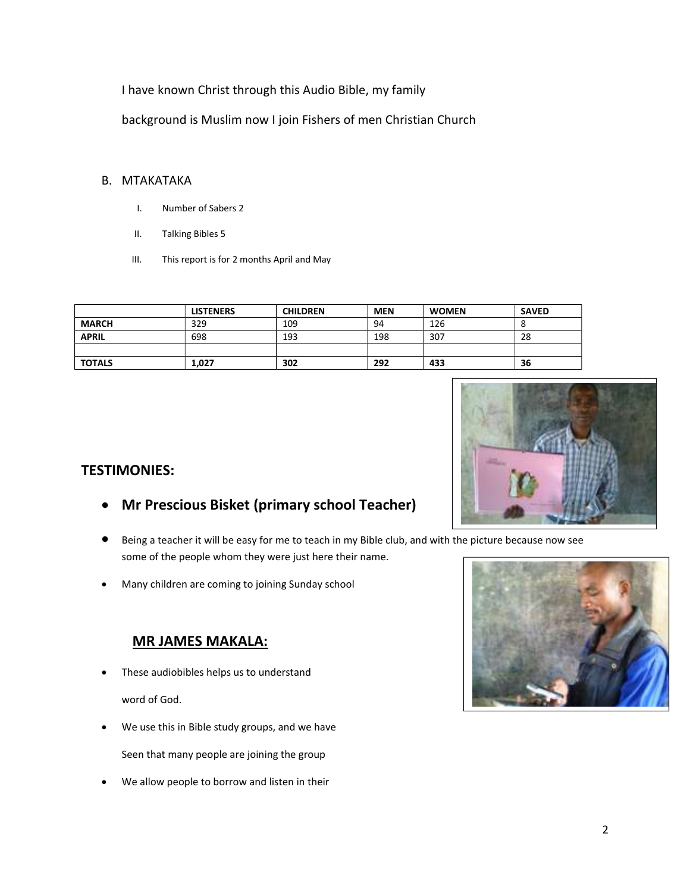I have known Christ through this Audio Bible, my family

background is Muslim now I join Fishers of men Christian Church

### B. MTAKATAKA

- I. Number of Sabers 2
- II. Talking Bibles 5
- III. This report is for 2 months April and May

|               | <b>LISTENERS</b> | <b>CHILDREN</b> | <b>MEN</b> | <b>WOMEN</b> | <b>SAVED</b> |
|---------------|------------------|-----------------|------------|--------------|--------------|
| <b>MARCH</b>  | 329              | 109             | 94         | 126          |              |
| <b>APRIL</b>  | 698              | 193             | 198        | 307          | 28           |
|               |                  |                 |            |              |              |
| <b>TOTALS</b> | 1,027            | 302             | 292        | 433          | 36           |



- **Mr Prescious Bisket (primary school Teacher)**
- Being a teacher it will be easy for me to teach in my Bible club, and with the picture because now see some of the people whom they were just here their name.
- Many children are coming to joining Sunday school

# **MR JAMES MAKALA:**

These audiobibles helps us to understand

word of God.

We use this in Bible study groups, and we have

Seen that many people are joining the group

We allow people to borrow and listen in their